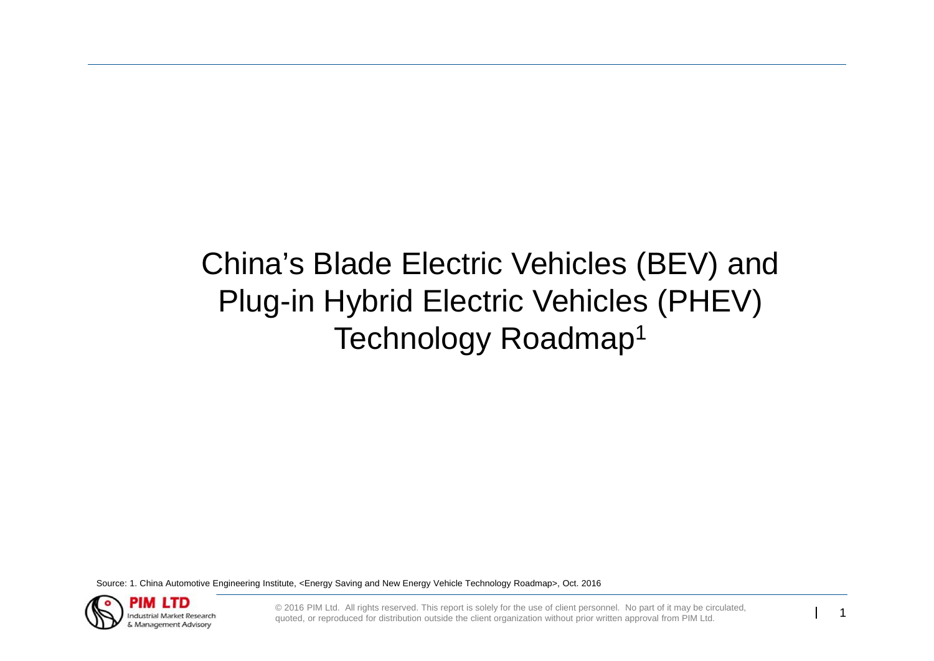# China's Blade Electric Vehicles (BEV) and Plug-in Hybrid Electric Vehicles (PHEV) Technology Roadmap1

Source: 1. China Automotive Engineering Institute, <Energy Saving and New Energy Vehicle Technology Roadmap>, Oct. 2016



© 2016 PIM Ltd. All rights reserved. This report is solely for the use of client personnel. No part of it may be circulated, quoted, or reproduced for distribution outside the client organization without prior written appr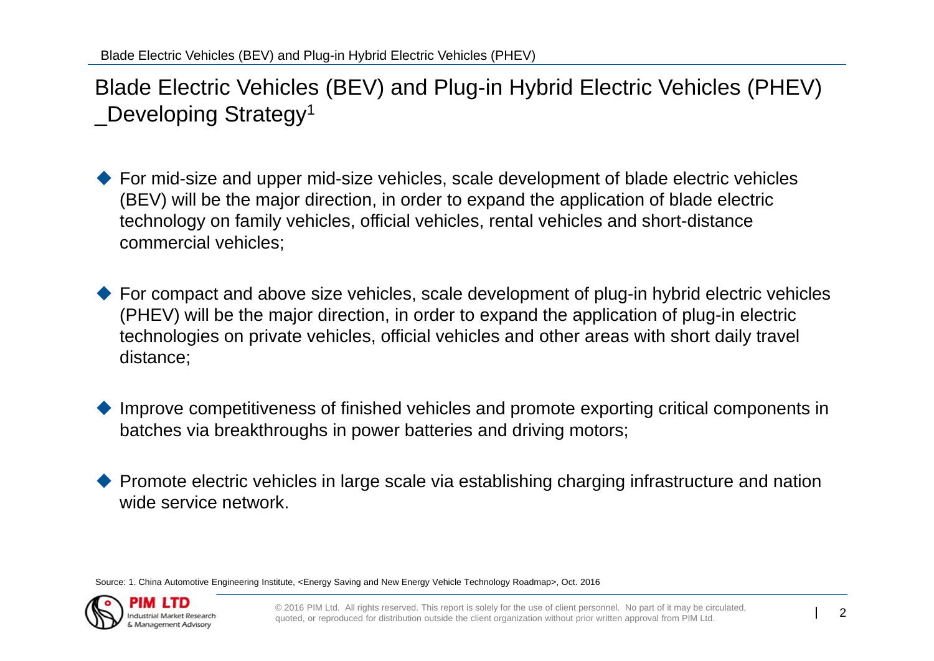Blade Electric Vehicles (BEV) and Plug-in Hybrid Electric Vehicles (PHEV) \_Developing Strategy1

- ◆ For mid-size and upper mid-size vehicles, scale development of blade electric vehicles (BEV) will be the major direction, in order to expand the application of blade electric technology on family vehicles, official vehicles, rental vehicles and short-distance commercial vehicles;
- ◆ For compact and above size vehicles, scale development of plug-in hybrid electric vehicles (PHEV) will be the major direction, in order to expand the application of plug-in electric technologies on private vehicles, official vehicles and other areas with short daily travel distance;
- $\blacklozenge$  Improve competitiveness of finished vehicles and promote exporting critical components in batches via breakthroughs in power batteries and driving motors;
- $\blacklozenge$  Promote electric vehicles in large scale via establishing charging infrastructure and nation wide service network.

Source: 1. China Automotive Engineering Institute, <Energy Saving and New Energy Vehicle Technology Roadmap>, Oct. 2016

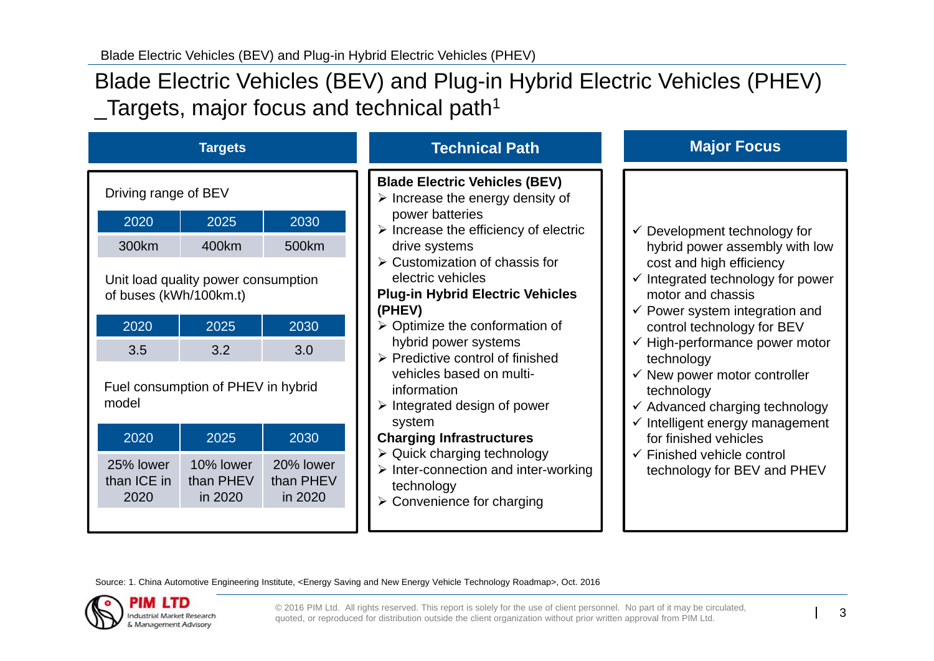## Blade Electric Vehicles (BEV) and Plug-in Hybrid Electric Vehicles (PHEV)  $\sqrt{\frac{1}{2}}$ Targets, major focus and technical path<sup>1</sup>

| <b>Targets</b>                                                |                                   |                                   | <b>Technical Path</b>                                                                                                                                        | <b>Major Focus</b>                                                                                                                               |
|---------------------------------------------------------------|-----------------------------------|-----------------------------------|--------------------------------------------------------------------------------------------------------------------------------------------------------------|--------------------------------------------------------------------------------------------------------------------------------------------------|
| Driving range of BEV                                          |                                   |                                   | <b>Blade Electric Vehicles (BEV)</b><br>$\triangleright$ Increase the energy density of                                                                      |                                                                                                                                                  |
| 2020                                                          | 2025                              | 2030                              | power batteries<br>$\triangleright$ Increase the efficiency of electric                                                                                      | $\checkmark$ Development technology for                                                                                                          |
| 300km                                                         | 400km                             | 500km                             | drive systems                                                                                                                                                | hybrid power assembly with low                                                                                                                   |
| Unit load quality power consumption<br>of buses (kWh/100km.t) |                                   |                                   | $\triangleright$ Customization of chassis for<br>electric vehicles<br><b>Plug-in Hybrid Electric Vehicles</b><br>(PHEV)                                      | cost and high efficiency<br>$\checkmark$ Integrated technology for power<br>motor and chassis<br>$\checkmark$ Power system integration and       |
| 2020                                                          | 2025                              | 2030                              | $\triangleright$ Optimize the conformation of                                                                                                                | control technology for BEV                                                                                                                       |
| 3.5                                                           | 3.2                               | 3.0                               | hybrid power systems<br>$\triangleright$ Predictive control of finished                                                                                      | $\checkmark$ High-performance power motor<br>technology                                                                                          |
| Fuel consumption of PHEV in hybrid<br>model                   |                                   |                                   | vehicles based on multi-<br>information<br>$\triangleright$ Integrated design of power<br>system                                                             | $\checkmark$ New power motor controller<br>technology<br>$\checkmark$ Advanced charging technology<br>$\checkmark$ Intelligent energy management |
| 2020                                                          | 2025                              | 2030                              | <b>Charging Infrastructures</b>                                                                                                                              | for finished vehicles                                                                                                                            |
| 25% lower<br>than ICE in<br>2020                              | 10% lower<br>than PHEV<br>in 2020 | 20% lower<br>than PHEV<br>in 2020 | $\triangleright$ Quick charging technology<br>$\triangleright$ Inter-connection and inter-working<br>technology<br>$\triangleright$ Convenience for charging | $\checkmark$ Finished vehicle control<br>technology for BEV and PHEV                                                                             |

Source: 1. China Automotive Engineering Institute, <Energy Saving and New Energy Vehicle Technology Roadmap>, Oct. 2016

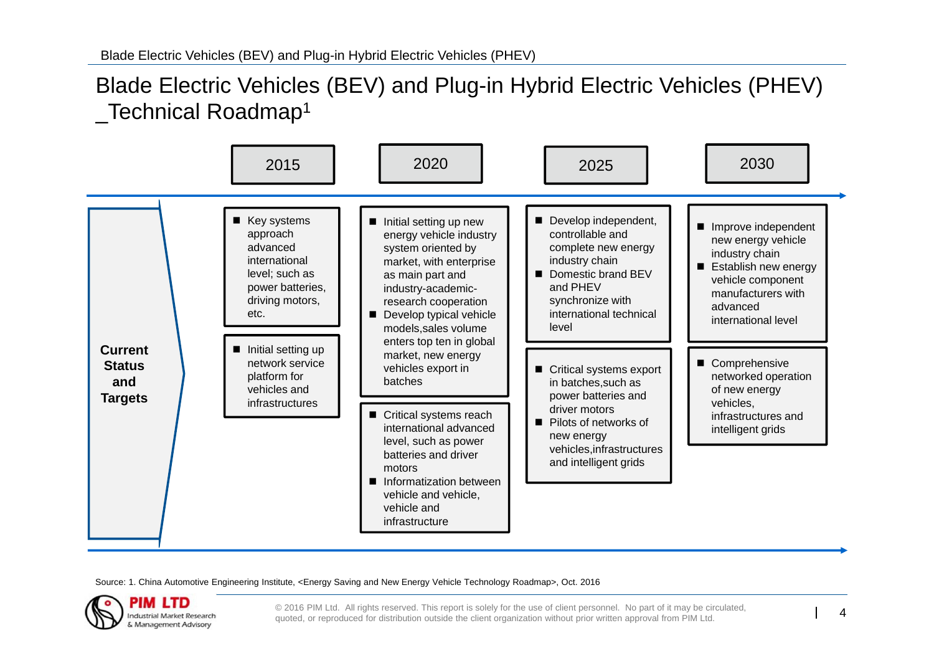#### Blade Electric Vehicles (BEV) and Plug-in Hybrid Electric Vehicles (PHEV) \_Technical Roadmap1



Source: 1. China Automotive Engineering Institute, <Energy Saving and New Energy Vehicle Technology Roadmap>, Oct. 2016



© 2016 PIM Ltd. All rights reserved. This report is solely for the use of client personnel. No part of it may be circulated, quoted, or reproduced for distribution outside the client organization without prior written appr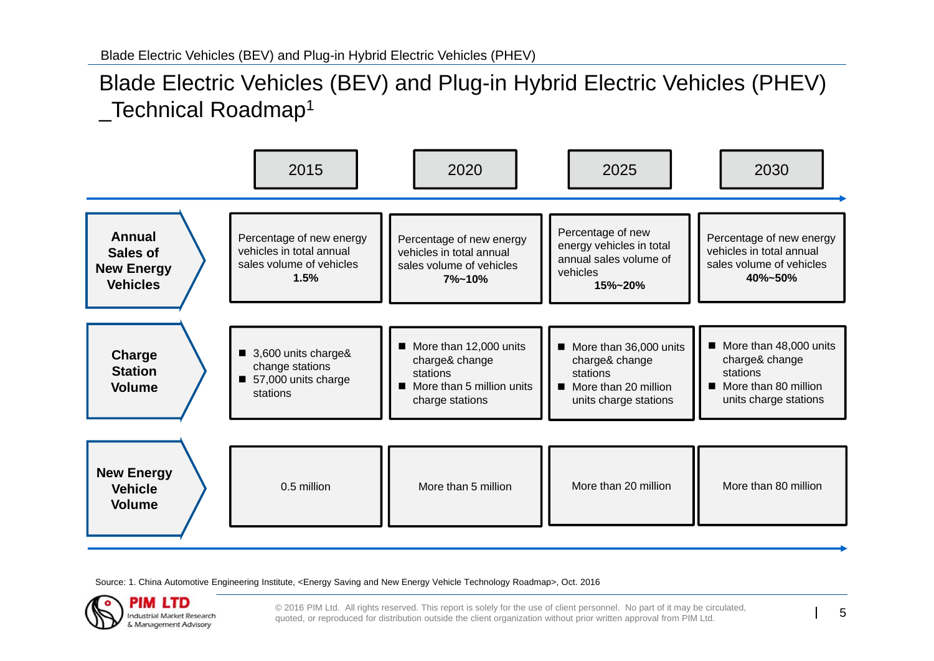### Blade Electric Vehicles (BEV) and Plug-in Hybrid Electric Vehicles (PHEV) Technical Roadmap<sup>1</sup>



Source: 1. China Automotive Engineering Institute, <Energy Saving and New Energy Vehicle Technology Roadmap>, Oct. 2016



© 2016 PIM Ltd. All rights reserved. This report is solely for the use of client personnel. No part of it may be circulated, quoted, or reproduced for distribution outside the client organization without prior written appr